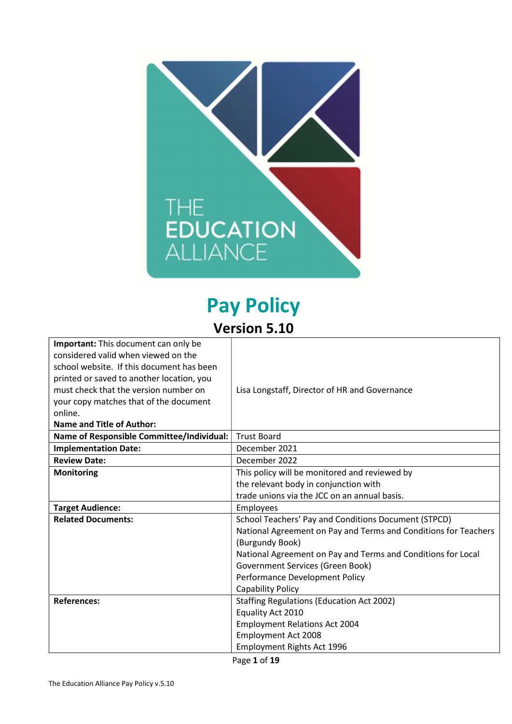

# Pay Policy Version 5.10

| <b>Important:</b> This document can only be |                                                                 |
|---------------------------------------------|-----------------------------------------------------------------|
| considered valid when viewed on the         |                                                                 |
| school website. If this document has been   |                                                                 |
| printed or saved to another location, you   |                                                                 |
| must check that the version number on       | Lisa Longstaff, Director of HR and Governance                   |
| your copy matches that of the document      |                                                                 |
| online.                                     |                                                                 |
| <b>Name and Title of Author:</b>            |                                                                 |
| Name of Responsible Committee/Individual:   | <b>Trust Board</b>                                              |
| <b>Implementation Date:</b>                 | December 2021                                                   |
| <b>Review Date:</b>                         | December 2022                                                   |
| <b>Monitoring</b>                           | This policy will be monitored and reviewed by                   |
|                                             | the relevant body in conjunction with                           |
|                                             | trade unions via the JCC on an annual basis.                    |
| <b>Target Audience:</b>                     | Employees                                                       |
| <b>Related Documents:</b>                   | School Teachers' Pay and Conditions Document (STPCD)            |
|                                             | National Agreement on Pay and Terms and Conditions for Teachers |
|                                             | (Burgundy Book)                                                 |
|                                             | National Agreement on Pay and Terms and Conditions for Local    |
|                                             | Government Services (Green Book)                                |
|                                             | Performance Development Policy                                  |
|                                             | <b>Capability Policy</b>                                        |
| <b>References:</b>                          | <b>Staffing Regulations (Education Act 2002)</b>                |
|                                             | Equality Act 2010                                               |
|                                             | <b>Employment Relations Act 2004</b>                            |
|                                             | <b>Employment Act 2008</b>                                      |
|                                             | Employment Rights Act 1996                                      |
|                                             | $\overline{\phantom{a}}$                                        |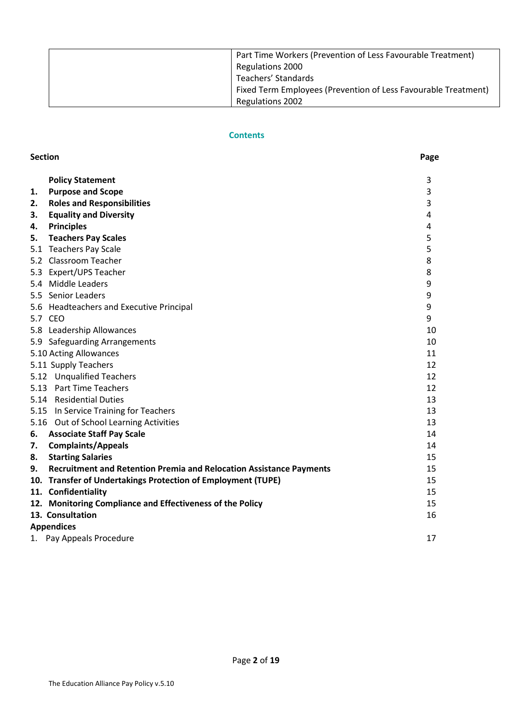| Part Time Workers (Prevention of Less Favourable Treatment)<br>Regulations 2000 |
|---------------------------------------------------------------------------------|
| Teachers' Standards                                                             |
| Fixed Term Employees (Prevention of Less Favourable Treatment)                  |
| <b>Regulations 2002</b>                                                         |

# **Contents**

|    | <b>Section</b>                                                             |    |
|----|----------------------------------------------------------------------------|----|
|    | <b>Policy Statement</b>                                                    | 3  |
| 1. | <b>Purpose and Scope</b>                                                   | 3  |
| 2. | <b>Roles and Responsibilities</b>                                          | 3  |
| З. | <b>Equality and Diversity</b>                                              | 4  |
| 4. | <b>Principles</b>                                                          | 4  |
| 5. | <b>Teachers Pay Scales</b>                                                 | 5  |
|    | 5.1 Teachers Pay Scale                                                     | 5  |
|    | 5.2 Classroom Teacher                                                      | 8  |
|    | 5.3 Expert/UPS Teacher                                                     | 8  |
|    | 5.4 Middle Leaders                                                         | 9  |
|    | 5.5 Senior Leaders                                                         | 9  |
|    | 5.6 Headteachers and Executive Principal                                   | 9  |
|    | 5.7 CEO                                                                    | 9  |
|    | 5.8 Leadership Allowances                                                  | 10 |
|    | 5.9 Safeguarding Arrangements                                              | 10 |
|    | 5.10 Acting Allowances                                                     | 11 |
|    | 5.11 Supply Teachers                                                       | 12 |
|    | 5.12 Unqualified Teachers                                                  | 12 |
|    | 5.13 Part Time Teachers                                                    | 12 |
|    | 5.14 Residential Duties                                                    | 13 |
|    | 5.15 In Service Training for Teachers                                      | 13 |
|    | 5.16 Out of School Learning Activities                                     | 13 |
| 6. | <b>Associate Staff Pay Scale</b>                                           | 14 |
| 7. | <b>Complaints/Appeals</b>                                                  | 14 |
| 8. | <b>Starting Salaries</b>                                                   | 15 |
| 9. | <b>Recruitment and Retention Premia and Relocation Assistance Payments</b> | 15 |
|    | 10. Transfer of Undertakings Protection of Employment (TUPE)               | 15 |
|    | 11. Confidentiality                                                        | 15 |
|    | 12. Monitoring Compliance and Effectiveness of the Policy                  | 15 |
|    | 13. Consultation                                                           | 16 |
|    | <b>Appendices</b>                                                          |    |
|    | 1. Pay Appeals Procedure                                                   | 17 |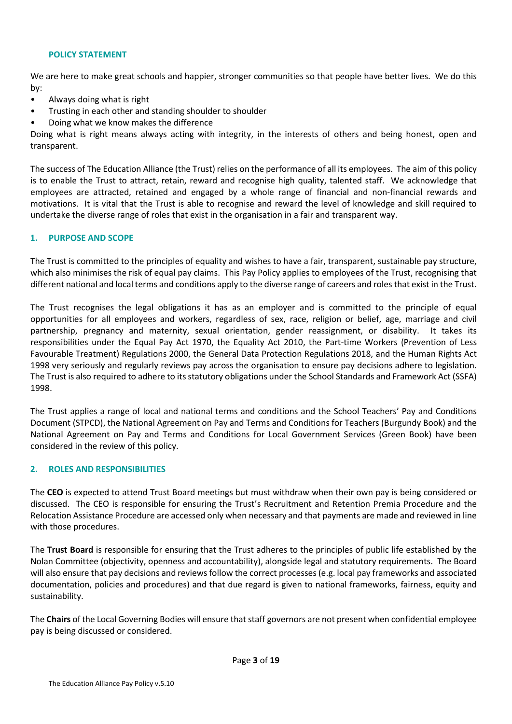## POLICY STATEMENT

We are here to make great schools and happier, stronger communities so that people have better lives. We do this by:

- Always doing what is right
- Trusting in each other and standing shoulder to shoulder
- Doing what we know makes the difference

Doing what is right means always acting with integrity, in the interests of others and being honest, open and transparent.

The success of The Education Alliance (the Trust) relies on the performance of all its employees. The aim of this policy is to enable the Trust to attract, retain, reward and recognise high quality, talented staff. We acknowledge that employees are attracted, retained and engaged by a whole range of financial and non-financial rewards and motivations. It is vital that the Trust is able to recognise and reward the level of knowledge and skill required to undertake the diverse range of roles that exist in the organisation in a fair and transparent way.

## 1. PURPOSE AND SCOPE

The Trust is committed to the principles of equality and wishes to have a fair, transparent, sustainable pay structure, which also minimises the risk of equal pay claims. This Pay Policy applies to employees of the Trust, recognising that different national and local terms and conditions apply to the diverse range of careers and roles that exist in the Trust.

The Trust recognises the legal obligations it has as an employer and is committed to the principle of equal opportunities for all employees and workers, regardless of sex, race, religion or belief, age, marriage and civil partnership, pregnancy and maternity, sexual orientation, gender reassignment, or disability. It takes its responsibilities under the Equal Pay Act 1970, the Equality Act 2010, the Part-time Workers (Prevention of Less Favourable Treatment) Regulations 2000, the General Data Protection Regulations 2018, and the Human Rights Act 1998 very seriously and regularly reviews pay across the organisation to ensure pay decisions adhere to legislation. The Trust is also required to adhere to its statutory obligations under the School Standards and Framework Act (SSFA) 1998.

The Trust applies a range of local and national terms and conditions and the School Teachers' Pay and Conditions Document (STPCD), the National Agreement on Pay and Terms and Conditions for Teachers (Burgundy Book) and the National Agreement on Pay and Terms and Conditions for Local Government Services (Green Book) have been considered in the review of this policy.

#### 2. ROLES AND RESPONSIBILITIES

The CEO is expected to attend Trust Board meetings but must withdraw when their own pay is being considered or discussed. The CEO is responsible for ensuring the Trust's Recruitment and Retention Premia Procedure and the Relocation Assistance Procedure are accessed only when necessary and that payments are made and reviewed in line with those procedures.

The Trust Board is responsible for ensuring that the Trust adheres to the principles of public life established by the Nolan Committee (objectivity, openness and accountability), alongside legal and statutory requirements. The Board will also ensure that pay decisions and reviews follow the correct processes (e.g. local pay frameworks and associated documentation, policies and procedures) and that due regard is given to national frameworks, fairness, equity and sustainability.

The Chairs of the Local Governing Bodies will ensure that staff governors are not present when confidential employee pay is being discussed or considered.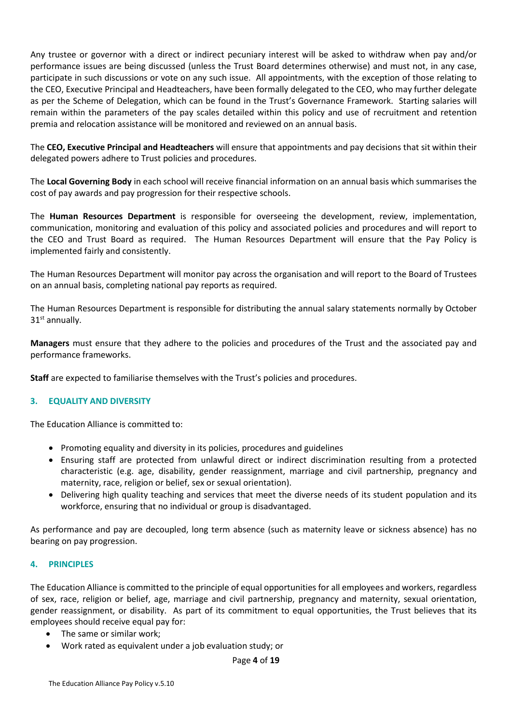Any trustee or governor with a direct or indirect pecuniary interest will be asked to withdraw when pay and/or performance issues are being discussed (unless the Trust Board determines otherwise) and must not, in any case, participate in such discussions or vote on any such issue. All appointments, with the exception of those relating to the CEO, Executive Principal and Headteachers, have been formally delegated to the CEO, who may further delegate as per the Scheme of Delegation, which can be found in the Trust's Governance Framework. Starting salaries will remain within the parameters of the pay scales detailed within this policy and use of recruitment and retention premia and relocation assistance will be monitored and reviewed on an annual basis.

The CEO, Executive Principal and Headteachers will ensure that appointments and pay decisions that sit within their delegated powers adhere to Trust policies and procedures.

The Local Governing Body in each school will receive financial information on an annual basis which summarises the cost of pay awards and pay progression for their respective schools.

The Human Resources Department is responsible for overseeing the development, review, implementation, communication, monitoring and evaluation of this policy and associated policies and procedures and will report to the CEO and Trust Board as required. The Human Resources Department will ensure that the Pay Policy is implemented fairly and consistently.

The Human Resources Department will monitor pay across the organisation and will report to the Board of Trustees on an annual basis, completing national pay reports as required.

The Human Resources Department is responsible for distributing the annual salary statements normally by October  $31<sup>st</sup>$  annually.

Managers must ensure that they adhere to the policies and procedures of the Trust and the associated pay and performance frameworks.

Staff are expected to familiarise themselves with the Trust's policies and procedures.

#### 3. EQUALITY AND DIVERSITY

The Education Alliance is committed to:

- Promoting equality and diversity in its policies, procedures and guidelines
- Ensuring staff are protected from unlawful direct or indirect discrimination resulting from a protected characteristic (e.g. age, disability, gender reassignment, marriage and civil partnership, pregnancy and maternity, race, religion or belief, sex or sexual orientation).
- Delivering high quality teaching and services that meet the diverse needs of its student population and its workforce, ensuring that no individual or group is disadvantaged.

As performance and pay are decoupled, long term absence (such as maternity leave or sickness absence) has no bearing on pay progression.

# 4. PRINCIPLES

The Education Alliance is committed to the principle of equal opportunities for all employees and workers, regardless of sex, race, religion or belief, age, marriage and civil partnership, pregnancy and maternity, sexual orientation, gender reassignment, or disability. As part of its commitment to equal opportunities, the Trust believes that its employees should receive equal pay for:

- The same or similar work;
- Work rated as equivalent under a job evaluation study; or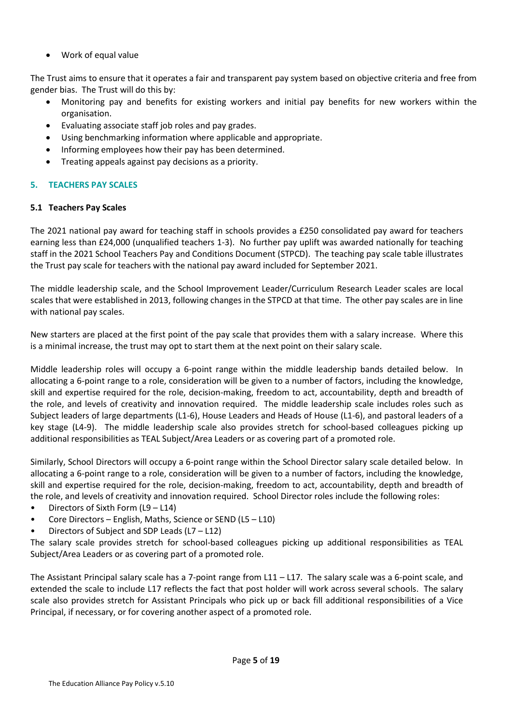Work of equal value

The Trust aims to ensure that it operates a fair and transparent pay system based on objective criteria and free from gender bias. The Trust will do this by:

- Monitoring pay and benefits for existing workers and initial pay benefits for new workers within the organisation.
- Evaluating associate staff job roles and pay grades.
- Using benchmarking information where applicable and appropriate.
- Informing employees how their pay has been determined.
- Treating appeals against pay decisions as a priority.

# 5. TEACHERS PAY SCALES

# 5.1 Teachers Pay Scales

The 2021 national pay award for teaching staff in schools provides a £250 consolidated pay award for teachers earning less than £24,000 (unqualified teachers 1-3). No further pay uplift was awarded nationally for teaching staff in the 2021 School Teachers Pay and Conditions Document (STPCD). The teaching pay scale table illustrates the Trust pay scale for teachers with the national pay award included for September 2021.

The middle leadership scale, and the School Improvement Leader/Curriculum Research Leader scales are local scales that were established in 2013, following changes in the STPCD at that time. The other pay scales are in line with national pay scales.

New starters are placed at the first point of the pay scale that provides them with a salary increase. Where this is a minimal increase, the trust may opt to start them at the next point on their salary scale.

Middle leadership roles will occupy a 6-point range within the middle leadership bands detailed below. In allocating a 6-point range to a role, consideration will be given to a number of factors, including the knowledge, skill and expertise required for the role, decision-making, freedom to act, accountability, depth and breadth of the role, and levels of creativity and innovation required. The middle leadership scale includes roles such as Subject leaders of large departments (L1-6), House Leaders and Heads of House (L1-6), and pastoral leaders of a key stage (L4-9). The middle leadership scale also provides stretch for school-based colleagues picking up additional responsibilities as TEAL Subject/Area Leaders or as covering part of a promoted role.

Similarly, School Directors will occupy a 6-point range within the School Director salary scale detailed below. In allocating a 6-point range to a role, consideration will be given to a number of factors, including the knowledge, skill and expertise required for the role, decision-making, freedom to act, accountability, depth and breadth of the role, and levels of creativity and innovation required. School Director roles include the following roles:

- Directors of Sixth Form (L9 L14)
- Core Directors English, Maths, Science or SEND (L5 L10)
- Directors of Subject and SDP Leads (L7 L12)

The salary scale provides stretch for school-based colleagues picking up additional responsibilities as TEAL Subject/Area Leaders or as covering part of a promoted role.

The Assistant Principal salary scale has a 7-point range from L11 – L17. The salary scale was a 6-point scale, and extended the scale to include L17 reflects the fact that post holder will work across several schools. The salary scale also provides stretch for Assistant Principals who pick up or back fill additional responsibilities of a Vice Principal, if necessary, or for covering another aspect of a promoted role.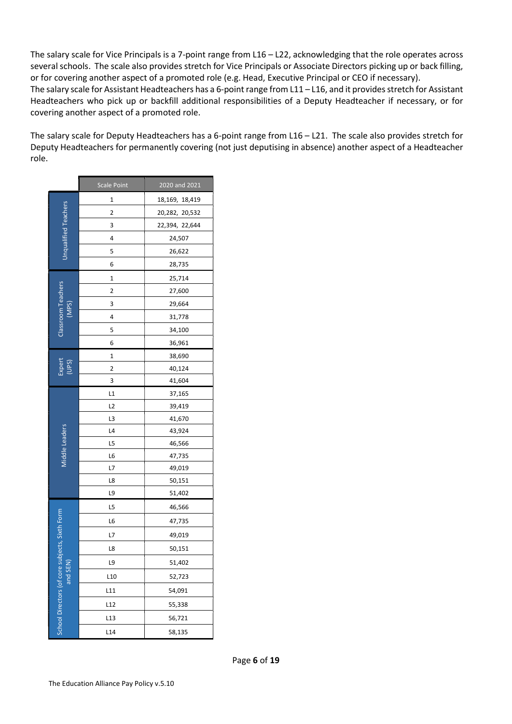The salary scale for Vice Principals is a 7-point range from L16 – L22, acknowledging that the role operates across several schools. The scale also provides stretch for Vice Principals or Associate Directors picking up or back filling, or for covering another aspect of a promoted role (e.g. Head, Executive Principal or CEO if necessary). The salary scale for Assistant Headteachers has a 6-point range from L11 – L16, and it provides stretch for Assistant

Headteachers who pick up or backfill additional responsibilities of a Deputy Headteacher if necessary, or for covering another aspect of a promoted role.

The salary scale for Deputy Headteachers has a 6-point range from L16 – L21. The scale also provides stretch for Deputy Headteachers for permanently covering (not just deputising in absence) another aspect of a Headteacher role.

|                              | Scale Point     | 2020 and 2021  |
|------------------------------|-----------------|----------------|
|                              | 1               | 18,169, 18,419 |
| <b>Unqualified Teachers</b>  | 2               | 20,282, 20,532 |
|                              | 3               | 22,394, 22,644 |
|                              | 4               | 24,507         |
|                              | 5               | 26,622         |
|                              | 6               | 28,735         |
|                              | 1               | 25,714         |
| Classroom Teachers           | 2               | 27,600         |
| (MPS)                        | 3               | 29,664         |
|                              | 4               | 31,778         |
|                              | 5               | 34,100         |
|                              | 6               | 36,961         |
|                              | 1               | 38,690         |
| Expert<br>(UPS)              | 2               | 40,124         |
|                              | 3               | 41,604         |
|                              | L1              | 37,165         |
|                              | L2              | 39,419         |
|                              | L3              | 41,670         |
| Middle Leaders               | L4              | 43,924         |
|                              | L5              | 46,566         |
|                              | L6              | 47,735         |
|                              | L7              | 49,019         |
|                              | L8              | 50,151         |
|                              | L9              | 51,402         |
|                              | L5              | 46,566         |
|                              | L6              | 47,735         |
|                              | L7              | 49,019         |
| Ibjects, Sixth Form          | L8              | 50,151         |
|                              | L9              | 51,402         |
| and SEN                      | L <sub>10</sub> | 52,723         |
|                              | L11             | 54,091         |
|                              | L12             | 55,338         |
| School Directors (of core sy | L <sub>13</sub> | 56,721         |
|                              | L <sub>14</sub> | 58,135         |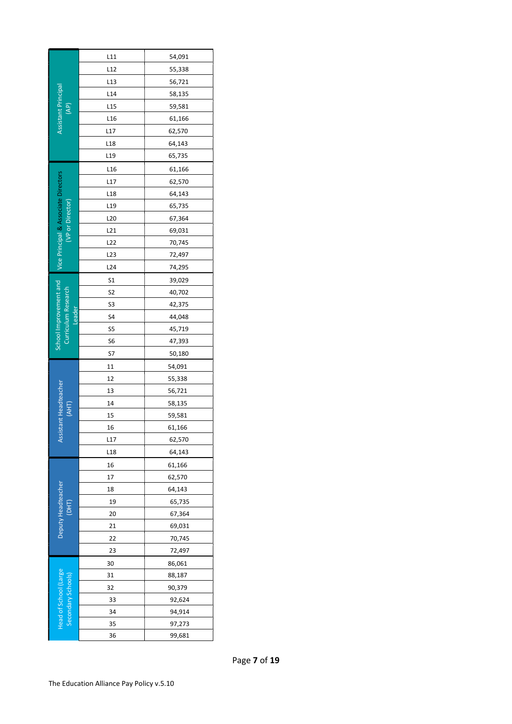| Assistant Principal<br>(AP)                   | L11             | 54,091 |
|-----------------------------------------------|-----------------|--------|
|                                               | L12             | 55,338 |
|                                               | L13             | 56,721 |
|                                               | L14             | 58,135 |
|                                               | L <sub>15</sub> | 59,581 |
|                                               | L <sub>16</sub> | 61,166 |
|                                               | L17             | 62,570 |
|                                               | L <sub>18</sub> | 64,143 |
|                                               | L <sub>19</sub> | 65,735 |
|                                               | L <sub>16</sub> | 61,166 |
|                                               | L17             | 62,570 |
|                                               | L <sub>18</sub> | 64,143 |
|                                               | L19             | 65,735 |
|                                               | L <sub>20</sub> | 67,364 |
| (VP or Director)                              | L21             | 69,031 |
|                                               | L22             | 70,745 |
| Vice Principal & Associate Directors          | L23             | 72,497 |
|                                               | L24             | 74,295 |
|                                               | S1              | 39,029 |
|                                               | S <sub>2</sub>  | 40,702 |
|                                               | S3              | 42,375 |
| Leader                                        | S4              | 44,048 |
| School Improvement and<br>Curriculum Research | S5              | 45,719 |
|                                               | S6              | 47,393 |
|                                               | S7              | 50,180 |
|                                               | 11              | 54,091 |
|                                               | 12              | 55,338 |
| istant Headteacher                            | 13              | 56,721 |
| (AHT)                                         | 14              | 58,135 |
|                                               | 15              | 59,581 |
|                                               | 16              | 61,166 |
| ÄS                                            | L17             | 62,570 |
|                                               | L <sub>18</sub> | 64,143 |
|                                               | 16              | 61,166 |
|                                               | 17              | 62,570 |
|                                               | 18              | 64,143 |
| Deputy Headteacher<br>(DHT)                   | 19              | 65,735 |
|                                               | 20              | 67,364 |
|                                               | 21              | 69,031 |
|                                               | 22              | 70,745 |
|                                               | 23              | 72,497 |
|                                               | 30              | 86,061 |
|                                               | 31              | 88,187 |
| Head of School (Large<br>Secondary Schools)   | 32              | 90,379 |
|                                               | 33              | 92,624 |
|                                               | 34              | 94,914 |
|                                               | 35              | 97,273 |
|                                               | 36              | 99,681 |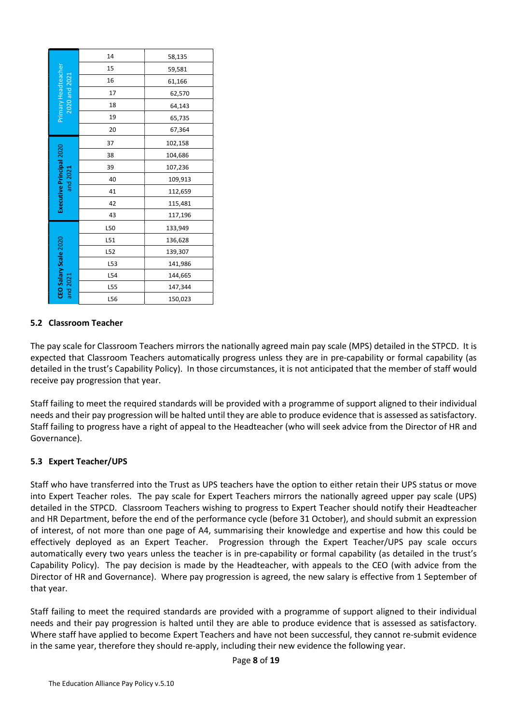|                                                                                                                                                                                                                                                                                                                                                                                                                               | 14                                         | 58,135                                                                                                                                         |  |
|-------------------------------------------------------------------------------------------------------------------------------------------------------------------------------------------------------------------------------------------------------------------------------------------------------------------------------------------------------------------------------------------------------------------------------|--------------------------------------------|------------------------------------------------------------------------------------------------------------------------------------------------|--|
|                                                                                                                                                                                                                                                                                                                                                                                                                               | 15                                         | 59,581                                                                                                                                         |  |
| Primary Headteacher                                                                                                                                                                                                                                                                                                                                                                                                           | 16                                         | 61,166                                                                                                                                         |  |
| 2020 and 2021                                                                                                                                                                                                                                                                                                                                                                                                                 | 17                                         | 62,570                                                                                                                                         |  |
|                                                                                                                                                                                                                                                                                                                                                                                                                               | 18                                         | 64,143                                                                                                                                         |  |
|                                                                                                                                                                                                                                                                                                                                                                                                                               | 19                                         | 65,735                                                                                                                                         |  |
|                                                                                                                                                                                                                                                                                                                                                                                                                               | 20                                         | 67,364                                                                                                                                         |  |
|                                                                                                                                                                                                                                                                                                                                                                                                                               | 37                                         | 102,158                                                                                                                                        |  |
| Executive Principal 2020                                                                                                                                                                                                                                                                                                                                                                                                      | 38                                         | 104,686                                                                                                                                        |  |
|                                                                                                                                                                                                                                                                                                                                                                                                                               | 39                                         | 107,236                                                                                                                                        |  |
| and 2021                                                                                                                                                                                                                                                                                                                                                                                                                      | 40                                         | 109,913                                                                                                                                        |  |
|                                                                                                                                                                                                                                                                                                                                                                                                                               | 41                                         | 112,659                                                                                                                                        |  |
|                                                                                                                                                                                                                                                                                                                                                                                                                               | 42                                         | 115,481                                                                                                                                        |  |
|                                                                                                                                                                                                                                                                                                                                                                                                                               | 43                                         | 117,196                                                                                                                                        |  |
|                                                                                                                                                                                                                                                                                                                                                                                                                               | L50                                        | 133,949                                                                                                                                        |  |
|                                                                                                                                                                                                                                                                                                                                                                                                                               | L51                                        | 136,628                                                                                                                                        |  |
|                                                                                                                                                                                                                                                                                                                                                                                                                               | L52                                        | 139,307                                                                                                                                        |  |
|                                                                                                                                                                                                                                                                                                                                                                                                                               | L53                                        | 141,986                                                                                                                                        |  |
|                                                                                                                                                                                                                                                                                                                                                                                                                               | L54                                        | 144,665                                                                                                                                        |  |
| CEO Salary Scale 2020<br>and 2021                                                                                                                                                                                                                                                                                                                                                                                             | L55                                        | 147,344                                                                                                                                        |  |
|                                                                                                                                                                                                                                                                                                                                                                                                                               | L56                                        | 150,023                                                                                                                                        |  |
| ernance).                                                                                                                                                                                                                                                                                                                                                                                                                     |                                            | failing to meet the required standards will<br>Is and their pay progression will be halted ur<br>failing to progress have a right of appeal to |  |
|                                                                                                                                                                                                                                                                                                                                                                                                                               | <b>Expert Teacher/UPS</b>                  |                                                                                                                                                |  |
| who have transferred into the Trust as UPS<br>Expert Teacher roles. The pay scale for Ex<br>iled in the STPCD. Classroom Teachers wis<br>HR Department, before the end of the perfo<br>terest, of not more than one page of A4, s<br>tively deployed as an Expert Teacher.<br>matically every two years unless the teach<br>bility Policy). The pay decision is made by<br>ttor of HR and Governance). Where pay pro<br>year. |                                            |                                                                                                                                                |  |
|                                                                                                                                                                                                                                                                                                                                                                                                                               | re staff have applied to become Expert Tea | failing to meet the required standards are<br>Is and their pay progression is halted until                                                     |  |
|                                                                                                                                                                                                                                                                                                                                                                                                                               |                                            | e same year, therefore they should re-apply                                                                                                    |  |

## 5.2 Classroom Teacher

The pay scale for Classroom Teachers mirrors the nationally agreed main pay scale (MPS) detailed in the STPCD. It is expected that Classroom Teachers automatically progress unless they are in pre-capability or formal capability (as detailed in the trust's Capability Policy). In those circumstances, it is not anticipated that the member of staff would receive pay progression that year.

Staff failing to meet the required standards will be provided with a programme of support aligned to their individual needs and their pay progression will be halted until they are able to produce evidence that is assessed as satisfactory. Staff failing to progress have a right of appeal to the Headteacher (who will seek advice from the Director of HR and Governance).

#### 5.3 Expert Teacher/UPS

Staff who have transferred into the Trust as UPS teachers have the option to either retain their UPS status or move into Expert Teacher roles. The pay scale for Expert Teachers mirrors the nationally agreed upper pay scale (UPS) detailed in the STPCD. Classroom Teachers wishing to progress to Expert Teacher should notify their Headteacher and HR Department, before the end of the performance cycle (before 31 October), and should submit an expression of interest, of not more than one page of A4, summarising their knowledge and expertise and how this could be effectively deployed as an Expert Teacher. Progression through the Expert Teacher/UPS pay scale occurs automatically every two years unless the teacher is in pre-capability or formal capability (as detailed in the trust's Capability Policy). The pay decision is made by the Headteacher, with appeals to the CEO (with advice from the Director of HR and Governance). Where pay progression is agreed, the new salary is effective from 1 September of that year.

Staff failing to meet the required standards are provided with a programme of support aligned to their individual needs and their pay progression is halted until they are able to produce evidence that is assessed as satisfactory. Where staff have applied to become Expert Teachers and have not been successful, they cannot re-submit evidence in the same year, therefore they should re-apply, including their new evidence the following year.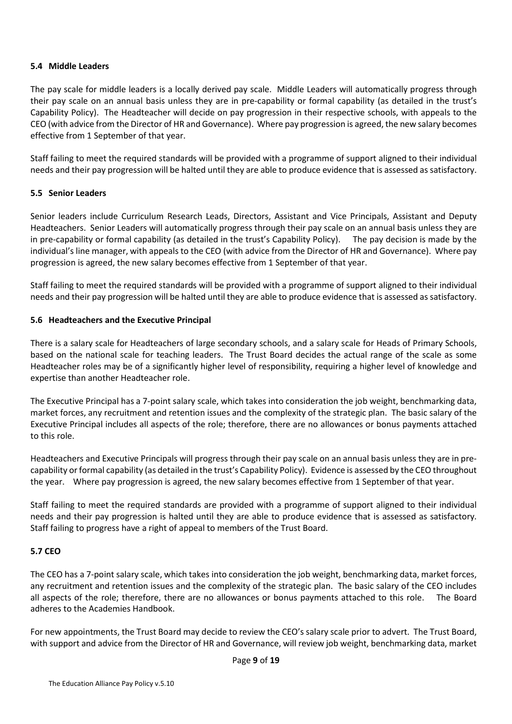#### 5.4 Middle Leaders

The pay scale for middle leaders is a locally derived pay scale. Middle Leaders will automatically progress through their pay scale on an annual basis unless they are in pre-capability or formal capability (as detailed in the trust's Capability Policy). The Headteacher will decide on pay progression in their respective schools, with appeals to the CEO (with advice from the Director of HR and Governance). Where pay progression is agreed, the new salary becomes effective from 1 September of that year.

Staff failing to meet the required standards will be provided with a programme of support aligned to their individual needs and their pay progression will be halted until they are able to produce evidence that is assessed as satisfactory.

## 5.5 Senior Leaders

Senior leaders include Curriculum Research Leads, Directors, Assistant and Vice Principals, Assistant and Deputy Headteachers. Senior Leaders will automatically progress through their pay scale on an annual basis unless they are in pre-capability or formal capability (as detailed in the trust's Capability Policy). The pay decision is made by the individual's line manager, with appeals to the CEO (with advice from the Director of HR and Governance). Where pay progression is agreed, the new salary becomes effective from 1 September of that year.

Staff failing to meet the required standards will be provided with a programme of support aligned to their individual needs and their pay progression will be halted until they are able to produce evidence that is assessed as satisfactory.

## 5.6 Headteachers and the Executive Principal

There is a salary scale for Headteachers of large secondary schools, and a salary scale for Heads of Primary Schools, based on the national scale for teaching leaders. The Trust Board decides the actual range of the scale as some Headteacher roles may be of a significantly higher level of responsibility, requiring a higher level of knowledge and expertise than another Headteacher role.

The Executive Principal has a 7-point salary scale, which takes into consideration the job weight, benchmarking data, market forces, any recruitment and retention issues and the complexity of the strategic plan. The basic salary of the Executive Principal includes all aspects of the role; therefore, there are no allowances or bonus payments attached to this role.

Headteachers and Executive Principals will progress through their pay scale on an annual basis unless they are in precapability or formal capability (as detailed in the trust's Capability Policy). Evidence is assessed by the CEO throughout the year. Where pay progression is agreed, the new salary becomes effective from 1 September of that year.

Staff failing to meet the required standards are provided with a programme of support aligned to their individual needs and their pay progression is halted until they are able to produce evidence that is assessed as satisfactory. Staff failing to progress have a right of appeal to members of the Trust Board.

# 5.7 CEO

The CEO has a 7-point salary scale, which takes into consideration the job weight, benchmarking data, market forces, any recruitment and retention issues and the complexity of the strategic plan. The basic salary of the CEO includes all aspects of the role; therefore, there are no allowances or bonus payments attached to this role. The Board adheres to the Academies Handbook.

For new appointments, the Trust Board may decide to review the CEO's salary scale prior to advert. The Trust Board, with support and advice from the Director of HR and Governance, will review job weight, benchmarking data, market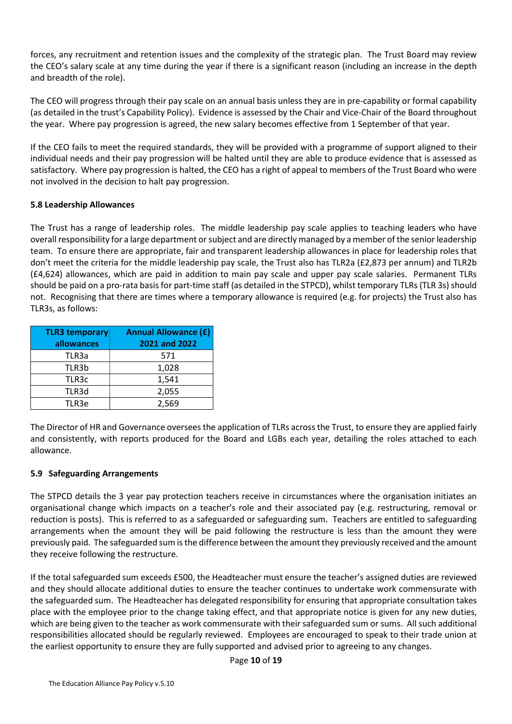forces, any recruitment and retention issues and the complexity of the strategic plan. The Trust Board may review the CEO's salary scale at any time during the year if there is a significant reason (including an increase in the depth and breadth of the role).

The CEO will progress through their pay scale on an annual basis unless they are in pre-capability or formal capability (as detailed in the trust's Capability Policy). Evidence is assessed by the Chair and Vice-Chair of the Board throughout the year. Where pay progression is agreed, the new salary becomes effective from 1 September of that year.

If the CEO fails to meet the required standards, they will be provided with a programme of support aligned to their individual needs and their pay progression will be halted until they are able to produce evidence that is assessed as satisfactory. Where pay progression is halted, the CEO has a right of appeal to members of the Trust Board who were not involved in the decision to halt pay progression.

## 5.8 Leadership Allowances

The Trust has a range of leadership roles. The middle leadership pay scale applies to teaching leaders who have overall responsibility for a large department or subject and are directly managed by a member of the senior leadership team. To ensure there are appropriate, fair and transparent leadership allowances in place for leadership roles that don't meet the criteria for the middle leadership pay scale, the Trust also has TLR2a (£2,873 per annum) and TLR2b (£4,624) allowances, which are paid in addition to main pay scale and upper pay scale salaries. Permanent TLRs should be paid on a pro-rata basis for part-time staff (as detailed in the STPCD), whilst temporary TLRs (TLR 3s) should not. Recognising that there are times where a temporary allowance is required (e.g. for projects) the Trust also has TLR3s, as follows:

| <b>TLR3 temporary</b><br>allowances | <b>Annual Allowance (£)</b><br>2021 and 2022 |
|-------------------------------------|----------------------------------------------|
| TLR3a                               | 571                                          |
| TLR3b                               | 1,028                                        |
| TLR3c                               | 1,541                                        |
| TLR3d                               | 2,055                                        |
| TLR3e                               | 2,569                                        |

The Director of HR and Governance oversees the application of TLRs across the Trust, to ensure they are applied fairly and consistently, with reports produced for the Board and LGBs each year, detailing the roles attached to each allowance.

#### 5.9 Safeguarding Arrangements

The STPCD details the 3 year pay protection teachers receive in circumstances where the organisation initiates an organisational change which impacts on a teacher's role and their associated pay (e.g. restructuring, removal or reduction is posts). This is referred to as a safeguarded or safeguarding sum. Teachers are entitled to safeguarding arrangements when the amount they will be paid following the restructure is less than the amount they were previously paid. The safeguarded sum is the difference between the amount they previously received and the amount they receive following the restructure.

If the total safeguarded sum exceeds £500, the Headteacher must ensure the teacher's assigned duties are reviewed and they should allocate additional duties to ensure the teacher continues to undertake work commensurate with the safeguarded sum. The Headteacher has delegated responsibility for ensuring that appropriate consultation takes place with the employee prior to the change taking effect, and that appropriate notice is given for any new duties, which are being given to the teacher as work commensurate with their safeguarded sum or sums. All such additional responsibilities allocated should be regularly reviewed. Employees are encouraged to speak to their trade union at the earliest opportunity to ensure they are fully supported and advised prior to agreeing to any changes.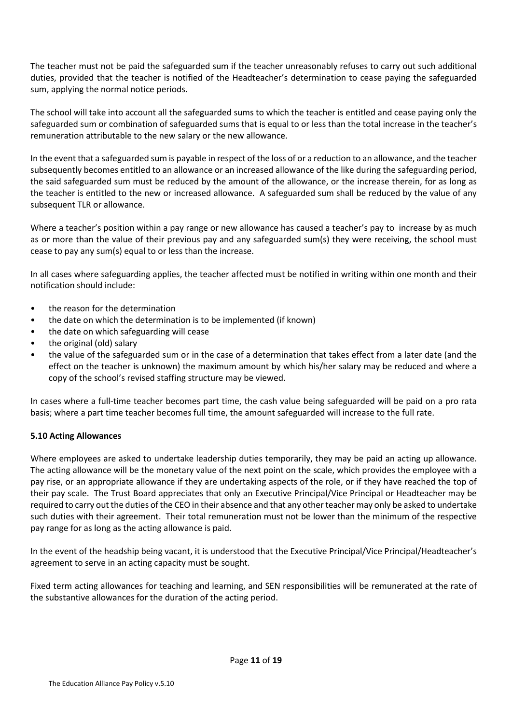The teacher must not be paid the safeguarded sum if the teacher unreasonably refuses to carry out such additional duties, provided that the teacher is notified of the Headteacher's determination to cease paying the safeguarded sum, applying the normal notice periods.

The school will take into account all the safeguarded sums to which the teacher is entitled and cease paying only the safeguarded sum or combination of safeguarded sums that is equal to or less than the total increase in the teacher's remuneration attributable to the new salary or the new allowance.

In the event that a safeguarded sum is payable in respect of the loss of or a reduction to an allowance, and the teacher subsequently becomes entitled to an allowance or an increased allowance of the like during the safeguarding period, the said safeguarded sum must be reduced by the amount of the allowance, or the increase therein, for as long as the teacher is entitled to the new or increased allowance. A safeguarded sum shall be reduced by the value of any subsequent TLR or allowance.

Where a teacher's position within a pay range or new allowance has caused a teacher's pay to increase by as much as or more than the value of their previous pay and any safeguarded sum(s) they were receiving, the school must cease to pay any sum(s) equal to or less than the increase.

In all cases where safeguarding applies, the teacher affected must be notified in writing within one month and their notification should include:

- the reason for the determination
- the date on which the determination is to be implemented (if known)
- the date on which safeguarding will cease
- the original (old) salary
- the value of the safeguarded sum or in the case of a determination that takes effect from a later date (and the effect on the teacher is unknown) the maximum amount by which his/her salary may be reduced and where a copy of the school's revised staffing structure may be viewed.

In cases where a full-time teacher becomes part time, the cash value being safeguarded will be paid on a pro rata basis; where a part time teacher becomes full time, the amount safeguarded will increase to the full rate.

# 5.10 Acting Allowances

Where employees are asked to undertake leadership duties temporarily, they may be paid an acting up allowance. The acting allowance will be the monetary value of the next point on the scale, which provides the employee with a pay rise, or an appropriate allowance if they are undertaking aspects of the role, or if they have reached the top of their pay scale. The Trust Board appreciates that only an Executive Principal/Vice Principal or Headteacher may be required to carry out the duties of the CEO in their absence and that any other teacher may only be asked to undertake such duties with their agreement. Their total remuneration must not be lower than the minimum of the respective pay range for as long as the acting allowance is paid.

In the event of the headship being vacant, it is understood that the Executive Principal/Vice Principal/Headteacher's agreement to serve in an acting capacity must be sought.

Fixed term acting allowances for teaching and learning, and SEN responsibilities will be remunerated at the rate of the substantive allowances for the duration of the acting period.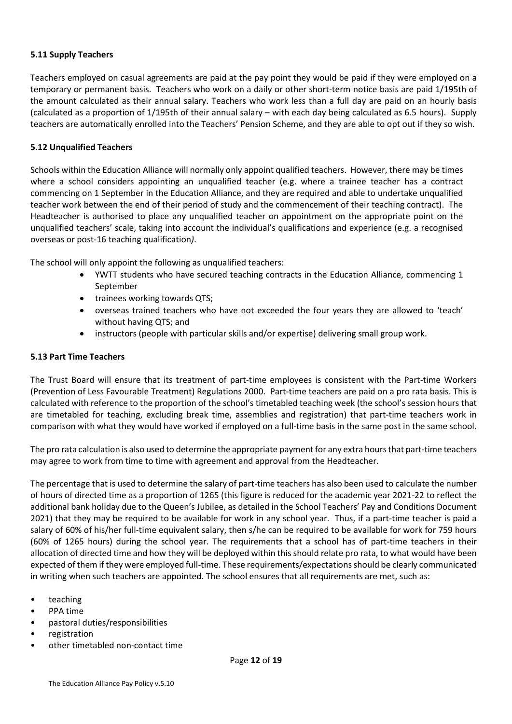#### 5.11 Supply Teachers

Teachers employed on casual agreements are paid at the pay point they would be paid if they were employed on a temporary or permanent basis. Teachers who work on a daily or other short-term notice basis are paid 1/195th of the amount calculated as their annual salary. Teachers who work less than a full day are paid on an hourly basis (calculated as a proportion of 1/195th of their annual salary – with each day being calculated as 6.5 hours). Supply teachers are automatically enrolled into the Teachers' Pension Scheme, and they are able to opt out if they so wish.

## 5.12 Unqualified Teachers

Schools within the Education Alliance will normally only appoint qualified teachers. However, there may be times where a school considers appointing an unqualified teacher (e.g. where a trainee teacher has a contract commencing on 1 September in the Education Alliance, and they are required and able to undertake unqualified teacher work between the end of their period of study and the commencement of their teaching contract). The Headteacher is authorised to place any unqualified teacher on appointment on the appropriate point on the unqualified teachers' scale, taking into account the individual's qualifications and experience (e.g. a recognised overseas or post-16 teaching qualification).

The school will only appoint the following as unqualified teachers:

- YWTT students who have secured teaching contracts in the Education Alliance, commencing 1 September
- trainees working towards QTS;
- overseas trained teachers who have not exceeded the four years they are allowed to 'teach' without having QTS; and
- instructors (people with particular skills and/or expertise) delivering small group work.

#### 5.13 Part Time Teachers

The Trust Board will ensure that its treatment of part-time employees is consistent with the Part-time Workers (Prevention of Less Favourable Treatment) Regulations 2000. Part-time teachers are paid on a pro rata basis. This is calculated with reference to the proportion of the school's timetabled teaching week (the school's session hours that are timetabled for teaching, excluding break time, assemblies and registration) that part-time teachers work in comparison with what they would have worked if employed on a full-time basis in the same post in the same school.

The pro rata calculation is also used to determine the appropriate payment for any extra hours that part-time teachers may agree to work from time to time with agreement and approval from the Headteacher.

The percentage that is used to determine the salary of part-time teachers has also been used to calculate the number of hours of directed time as a proportion of 1265 (this figure is reduced for the academic year 2021-22 to reflect the additional bank holiday due to the Queen's Jubilee, as detailed in the School Teachers' Pay and Conditions Document 2021) that they may be required to be available for work in any school year. Thus, if a part-time teacher is paid a salary of 60% of his/her full-time equivalent salary, then s/he can be required to be available for work for 759 hours (60% of 1265 hours) during the school year. The requirements that a school has of part-time teachers in their allocation of directed time and how they will be deployed within this should relate pro rata, to what would have been expected of them if they were employed full-time. These requirements/expectations should be clearly communicated in writing when such teachers are appointed. The school ensures that all requirements are met, such as:

- **teaching**
- PPA time
- pastoral duties/responsibilities
- registration
- other timetabled non-contact time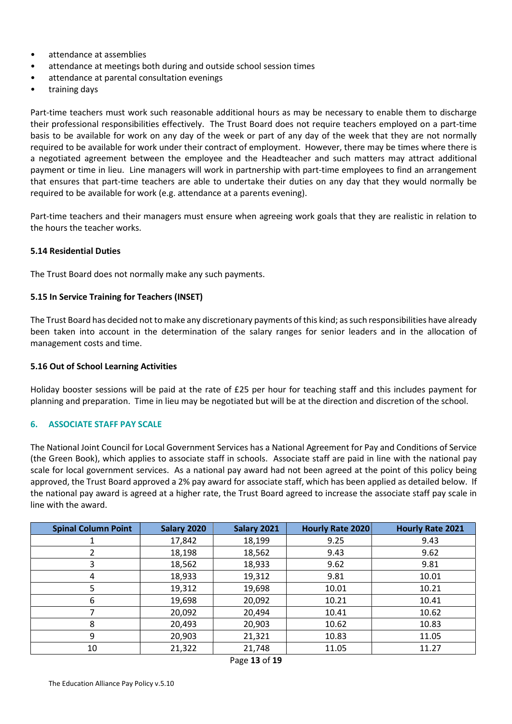- attendance at assemblies
- attendance at meetings both during and outside school session times
- attendance at parental consultation evenings
- training days

Part-time teachers must work such reasonable additional hours as may be necessary to enable them to discharge their professional responsibilities effectively. The Trust Board does not require teachers employed on a part-time basis to be available for work on any day of the week or part of any day of the week that they are not normally required to be available for work under their contract of employment. However, there may be times where there is a negotiated agreement between the employee and the Headteacher and such matters may attract additional payment or time in lieu. Line managers will work in partnership with part-time employees to find an arrangement that ensures that part-time teachers are able to undertake their duties on any day that they would normally be required to be available for work (e.g. attendance at a parents evening).

Part-time teachers and their managers must ensure when agreeing work goals that they are realistic in relation to the hours the teacher works.

#### 5.14 Residential Duties

The Trust Board does not normally make any such payments.

#### 5.15 In Service Training for Teachers (INSET)

The Trust Board has decided not to make any discretionary payments of this kind; as such responsibilities have already been taken into account in the determination of the salary ranges for senior leaders and in the allocation of management costs and time.

#### 5.16 Out of School Learning Activities

Holiday booster sessions will be paid at the rate of £25 per hour for teaching staff and this includes payment for planning and preparation. Time in lieu may be negotiated but will be at the direction and discretion of the school.

#### 6. ASSOCIATE STAFF PAY SCALE

The National Joint Council for Local Government Services has a National Agreement for Pay and Conditions of Service (the Green Book), which applies to associate staff in schools. Associate staff are paid in line with the national pay scale for local government services. As a national pay award had not been agreed at the point of this policy being approved, the Trust Board approved a 2% pay award for associate staff, which has been applied as detailed below. If the national pay award is agreed at a higher rate, the Trust Board agreed to increase the associate staff pay scale in line with the award.

| <b>Spinal Column Point</b> | Salary 2020 | Salary 2021 | Hourly Rate 2020 | <b>Hourly Rate 2021</b> |
|----------------------------|-------------|-------------|------------------|-------------------------|
|                            | 17,842      | 18,199      | 9.25             | 9.43                    |
| 2                          | 18,198      | 18,562      | 9.43             | 9.62                    |
| 3                          | 18,562      | 18,933      | 9.62             | 9.81                    |
| 4                          | 18,933      | 19,312      | 9.81             | 10.01                   |
| 5                          | 19,312      | 19,698      | 10.01            | 10.21                   |
| 6                          | 19,698      | 20,092      | 10.21            | 10.41                   |
|                            | 20,092      | 20,494      | 10.41            | 10.62                   |
| 8                          | 20,493      | 20,903      | 10.62            | 10.83                   |
| 9                          | 20,903      | 21,321      | 10.83            | 11.05                   |
| 10                         | 21,322      | 21,748      | 11.05            | 11.27                   |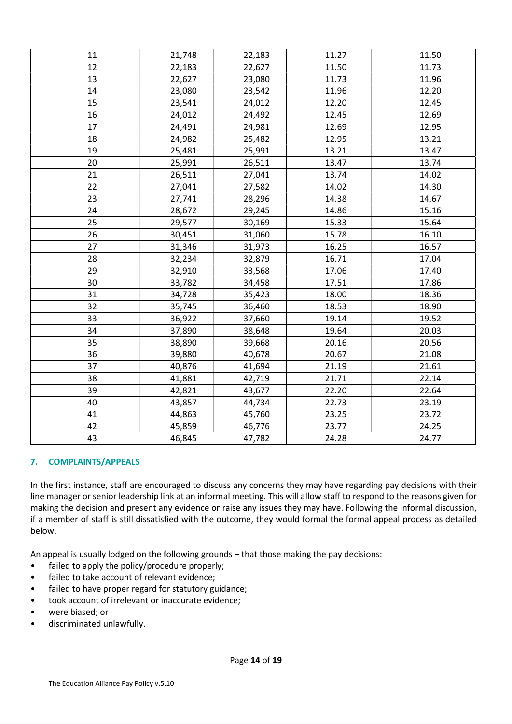| 11 | 21,748 | 22,183 | 11.27 | 11.50 |
|----|--------|--------|-------|-------|
| 12 | 22,183 | 22,627 | 11.50 | 11.73 |
| 13 | 22,627 | 23,080 | 11.73 | 11.96 |
| 14 | 23,080 | 23,542 | 11.96 | 12.20 |
| 15 | 23,541 | 24,012 | 12.20 | 12.45 |
| 16 | 24,012 | 24,492 | 12.45 | 12.69 |
| 17 | 24,491 | 24,981 | 12.69 | 12.95 |
| 18 | 24,982 | 25,482 | 12.95 | 13.21 |
| 19 | 25,481 | 25,991 | 13.21 | 13.47 |
| 20 | 25,991 | 26,511 | 13.47 | 13.74 |
| 21 | 26,511 | 27,041 | 13.74 | 14.02 |
| 22 | 27,041 | 27,582 | 14.02 | 14.30 |
| 23 | 27,741 | 28,296 | 14.38 | 14.67 |
| 24 | 28,672 | 29,245 | 14.86 | 15.16 |
| 25 | 29,577 | 30,169 | 15.33 | 15.64 |
| 26 | 30,451 | 31,060 | 15.78 | 16.10 |
| 27 | 31,346 | 31,973 | 16.25 | 16.57 |
| 28 | 32,234 | 32,879 | 16.71 | 17.04 |
| 29 | 32,910 | 33,568 | 17.06 | 17.40 |
| 30 | 33,782 | 34,458 | 17.51 | 17.86 |
| 31 | 34,728 | 35,423 | 18.00 | 18.36 |
| 32 | 35,745 | 36,460 | 18.53 | 18.90 |
| 33 | 36,922 | 37,660 | 19.14 | 19.52 |
| 34 | 37,890 | 38,648 | 19.64 | 20.03 |
| 35 | 38,890 | 39,668 | 20.16 | 20.56 |
| 36 | 39,880 | 40,678 | 20.67 | 21.08 |
| 37 | 40,876 | 41,694 | 21.19 | 21.61 |
| 38 | 41,881 | 42,719 | 21.71 | 22.14 |
| 39 | 42,821 | 43,677 | 22.20 | 22.64 |
| 40 | 43,857 | 44,734 | 22.73 | 23.19 |
| 41 | 44,863 | 45,760 | 23.25 | 23.72 |
| 42 | 45,859 | 46,776 | 23.77 | 24.25 |
| 43 | 46,845 | 47,782 | 24.28 | 24.77 |

# 7. COMPLAINTS/APPEALS

In the first instance, staff are encouraged to discuss any concerns they may have regarding pay decisions with their line manager or senior leadership link at an informal meeting. This will allow staff to respond to the reasons given for making the decision and present any evidence or raise any issues they may have. Following the informal discussion, if a member of staff is still dissatisfied with the outcome, they would formal the formal appeal process as detailed below.

An appeal is usually lodged on the following grounds – that those making the pay decisions:

- failed to apply the policy/procedure properly;
- failed to take account of relevant evidence;
- failed to have proper regard for statutory guidance;
- took account of irrelevant or inaccurate evidence;
- were biased; or
- discriminated unlawfully.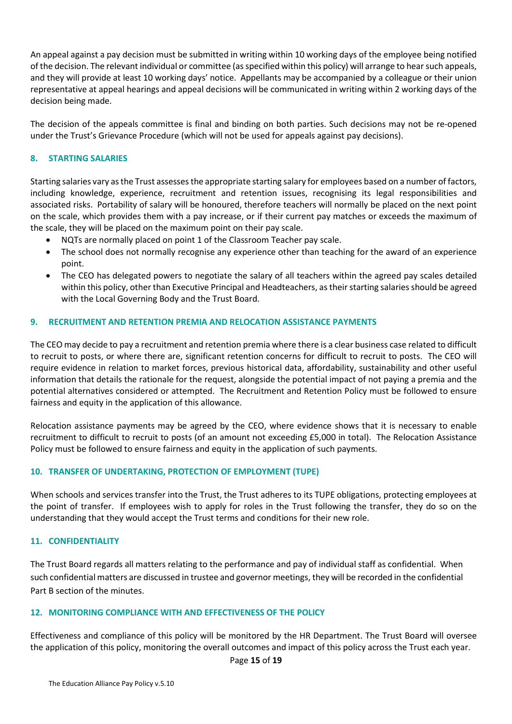An appeal against a pay decision must be submitted in writing within 10 working days of the employee being notified of the decision. The relevant individual or committee (as specified within this policy) will arrange to hear such appeals, and they will provide at least 10 working days' notice. Appellants may be accompanied by a colleague or their union representative at appeal hearings and appeal decisions will be communicated in writing within 2 working days of the decision being made.

The decision of the appeals committee is final and binding on both parties. Such decisions may not be re-opened under the Trust's Grievance Procedure (which will not be used for appeals against pay decisions).

## 8. STARTING SALARIES

Starting salaries vary as the Trust assesses the appropriate starting salary for employees based on a number of factors, including knowledge, experience, recruitment and retention issues, recognising its legal responsibilities and associated risks. Portability of salary will be honoured, therefore teachers will normally be placed on the next point on the scale, which provides them with a pay increase, or if their current pay matches or exceeds the maximum of the scale, they will be placed on the maximum point on their pay scale.

- NQTs are normally placed on point 1 of the Classroom Teacher pay scale.
- The school does not normally recognise any experience other than teaching for the award of an experience point.
- The CEO has delegated powers to negotiate the salary of all teachers within the agreed pay scales detailed within this policy, other than Executive Principal and Headteachers, as their starting salaries should be agreed with the Local Governing Body and the Trust Board.

#### 9. RECRUITMENT AND RETENTION PREMIA AND RELOCATION ASSISTANCE PAYMENTS

The CEO may decide to pay a recruitment and retention premia where there is a clear business case related to difficult to recruit to posts, or where there are, significant retention concerns for difficult to recruit to posts. The CEO will require evidence in relation to market forces, previous historical data, affordability, sustainability and other useful information that details the rationale for the request, alongside the potential impact of not paying a premia and the potential alternatives considered or attempted. The Recruitment and Retention Policy must be followed to ensure fairness and equity in the application of this allowance.

Relocation assistance payments may be agreed by the CEO, where evidence shows that it is necessary to enable recruitment to difficult to recruit to posts (of an amount not exceeding £5,000 in total). The Relocation Assistance Policy must be followed to ensure fairness and equity in the application of such payments.

#### 10. TRANSFER OF UNDERTAKING, PROTECTION OF EMPLOYMENT (TUPE)

When schools and services transfer into the Trust, the Trust adheres to its TUPE obligations, protecting employees at the point of transfer. If employees wish to apply for roles in the Trust following the transfer, they do so on the understanding that they would accept the Trust terms and conditions for their new role.

#### 11. CONFIDENTIALITY

The Trust Board regards all matters relating to the performance and pay of individual staff as confidential. When such confidential matters are discussed in trustee and governor meetings, they will be recorded in the confidential Part B section of the minutes.

#### 12. MONITORING COMPLIANCE WITH AND EFFECTIVENESS OF THE POLICY

Effectiveness and compliance of this policy will be monitored by the HR Department. The Trust Board will oversee the application of this policy, monitoring the overall outcomes and impact of this policy across the Trust each year.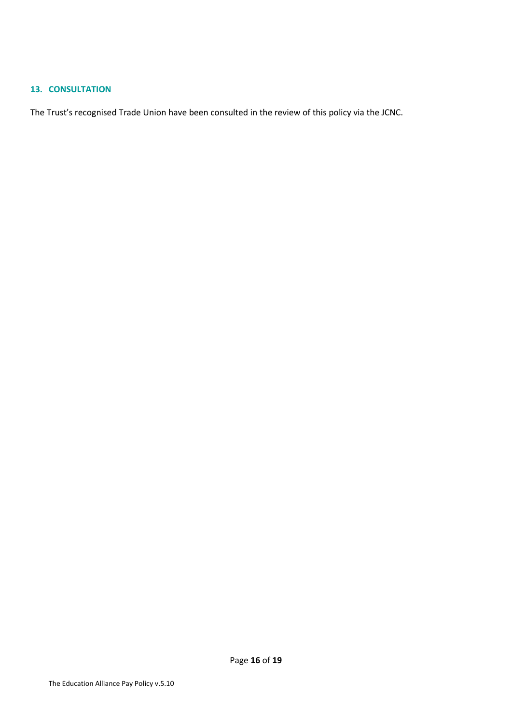#### 13. CONSULTATION

The Trust's recognised Trade Union have been consulted in the review of this policy via the JCNC.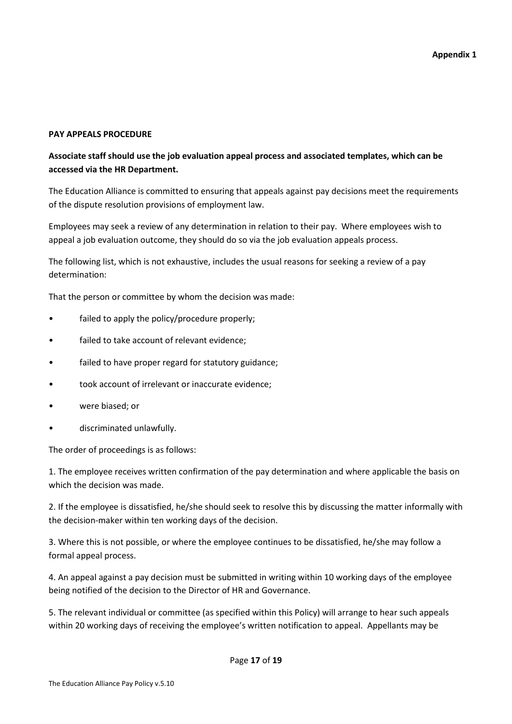## PAY APPEALS PROCEDURE

# Associate staff should use the job evaluation appeal process and associated templates, which can be accessed via the HR Department.

The Education Alliance is committed to ensuring that appeals against pay decisions meet the requirements of the dispute resolution provisions of employment law.

Employees may seek a review of any determination in relation to their pay. Where employees wish to appeal a job evaluation outcome, they should do so via the job evaluation appeals process.

The following list, which is not exhaustive, includes the usual reasons for seeking a review of a pay determination:

That the person or committee by whom the decision was made:

- failed to apply the policy/procedure properly;
- failed to take account of relevant evidence;
- failed to have proper regard for statutory guidance;
- took account of irrelevant or inaccurate evidence;
- were biased; or
- discriminated unlawfully.

The order of proceedings is as follows:

1. The employee receives written confirmation of the pay determination and where applicable the basis on which the decision was made.

2. If the employee is dissatisfied, he/she should seek to resolve this by discussing the matter informally with the decision-maker within ten working days of the decision.

3. Where this is not possible, or where the employee continues to be dissatisfied, he/she may follow a formal appeal process.

4. An appeal against a pay decision must be submitted in writing within 10 working days of the employee being notified of the decision to the Director of HR and Governance.

5. The relevant individual or committee (as specified within this Policy) will arrange to hear such appeals within 20 working days of receiving the employee's written notification to appeal. Appellants may be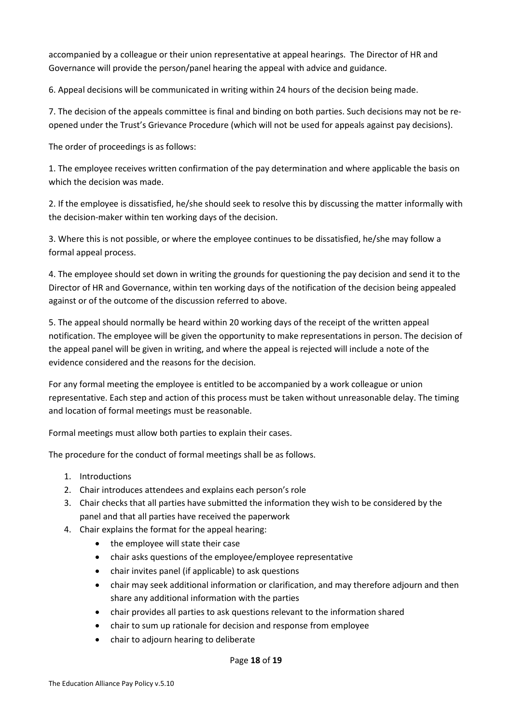accompanied by a colleague or their union representative at appeal hearings. The Director of HR and Governance will provide the person/panel hearing the appeal with advice and guidance.

6. Appeal decisions will be communicated in writing within 24 hours of the decision being made.

7. The decision of the appeals committee is final and binding on both parties. Such decisions may not be reopened under the Trust's Grievance Procedure (which will not be used for appeals against pay decisions).

The order of proceedings is as follows:

1. The employee receives written confirmation of the pay determination and where applicable the basis on which the decision was made.

2. If the employee is dissatisfied, he/she should seek to resolve this by discussing the matter informally with the decision-maker within ten working days of the decision.

3. Where this is not possible, or where the employee continues to be dissatisfied, he/she may follow a formal appeal process.

4. The employee should set down in writing the grounds for questioning the pay decision and send it to the Director of HR and Governance, within ten working days of the notification of the decision being appealed against or of the outcome of the discussion referred to above.

5. The appeal should normally be heard within 20 working days of the receipt of the written appeal notification. The employee will be given the opportunity to make representations in person. The decision of the appeal panel will be given in writing, and where the appeal is rejected will include a note of the evidence considered and the reasons for the decision.

For any formal meeting the employee is entitled to be accompanied by a work colleague or union representative. Each step and action of this process must be taken without unreasonable delay. The timing and location of formal meetings must be reasonable.

Formal meetings must allow both parties to explain their cases.

The procedure for the conduct of formal meetings shall be as follows.

- 1. Introductions
- 2. Chair introduces attendees and explains each person's role
- 3. Chair checks that all parties have submitted the information they wish to be considered by the panel and that all parties have received the paperwork
- 4. Chair explains the format for the appeal hearing:
	- the employee will state their case
	- chair asks questions of the employee/employee representative
	- chair invites panel (if applicable) to ask questions
	- chair may seek additional information or clarification, and may therefore adjourn and then share any additional information with the parties
	- chair provides all parties to ask questions relevant to the information shared
	- chair to sum up rationale for decision and response from employee
	- chair to adjourn hearing to deliberate